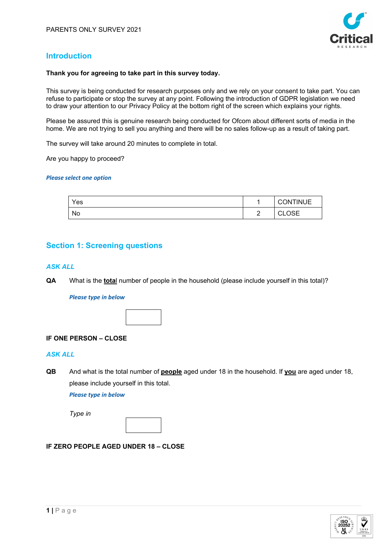

## **Introduction**

### **Thank you for agreeing to take part in this survey today.**

This survey is being conducted for research purposes only and we rely on your consent to take part. You can refuse to participate or stop the survey at any point. Following the introduction of GDPR legislation we need to draw your attention to our Privacy Policy at the bottom right of the screen which explains your rights.

Please be assured this is genuine research being conducted for Ofcom about different sorts of media in the home. We are not trying to sell you anything and there will be no sales follow-up as a result of taking part.

The survey will take around 20 minutes to complete in total.

Are you happy to proceed?

#### *Please select one option*

| Yes |                 | <b>CONTINUE</b>      |
|-----|-----------------|----------------------|
| No  | $\sqrt{2}$<br>- | <b>OSE</b><br>$\sim$ |

## **Section 1: Screening questions**

### *ASK ALL*

**QA** What is the **tota**l number of people in the household (please include yourself in this total)?

*Please type in below*



### **IF ONE PERSON – CLOSE**

### *ASK ALL*

**QB** And what is the total number of **people** aged under 18 in the household. If **you** are aged under 18, please include yourself in this total.

*Please type in below*

*Type in*

## **IF ZERO PEOPLE AGED UNDER 18 – CLOSE**

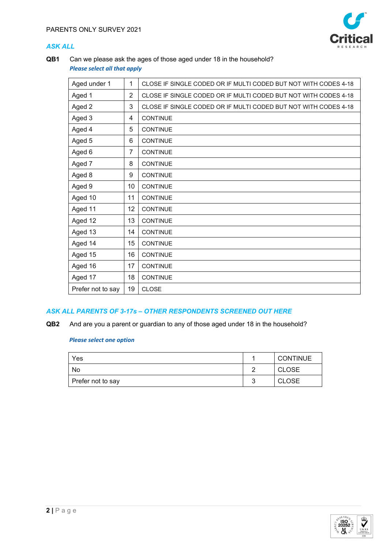

## *ASK ALL*

**QB1** Can we please ask the ages of those aged under 18 in the household? *Please select all that apply*

| Aged under 1      | 1              | CLOSE IF SINGLE CODED OR IF MULTI CODED BUT NOT WITH CODES 4-18 |
|-------------------|----------------|-----------------------------------------------------------------|
| Aged 1            | $\overline{2}$ | CLOSE IF SINGLE CODED OR IF MULTI CODED BUT NOT WITH CODES 4-18 |
| Aged 2            | 3              | CLOSE IF SINGLE CODED OR IF MULTI CODED BUT NOT WITH CODES 4-18 |
| Aged 3            | 4              | <b>CONTINUE</b>                                                 |
| Aged 4            | 5              | <b>CONTINUE</b>                                                 |
| Aged 5            | 6              | <b>CONTINUE</b>                                                 |
| Aged 6            | 7              | <b>CONTINUE</b>                                                 |
| Aged 7            | 8              | <b>CONTINUE</b>                                                 |
| Aged 8            | 9              | CONTINUE                                                        |
| Aged 9            | 10             | <b>CONTINUE</b>                                                 |
| Aged 10           | 11             | <b>CONTINUE</b>                                                 |
| Aged 11           | 12             | <b>CONTINUE</b>                                                 |
| Aged 12           | 13             | <b>CONTINUE</b>                                                 |
| Aged 13           | 14             | <b>CONTINUE</b>                                                 |
| Aged 14           | 15             | CONTINUE                                                        |
| Aged 15           | 16             | <b>CONTINUE</b>                                                 |
| Aged 16           | 17             | <b>CONTINUE</b>                                                 |
| Aged 17           | 18             | CONTINUE                                                        |
| Prefer not to say | 19             | <b>CLOSE</b>                                                    |

## *ASK ALL PARENTS OF 3-17s – OTHER RESPONDENTS SCREENED OUT HERE*

**QB2** And are you a parent or guardian to any of those aged under 18 in the household?

| Yes               | <b>CONTINUE</b> |
|-------------------|-----------------|
| No                | CLOSE           |
| Prefer not to say | <b>CLOSE</b>    |

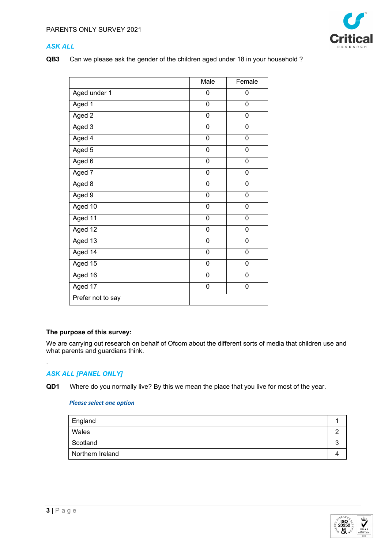

## *ASK ALL*

**QB3** Can we please ask the gender of the children aged under 18 in your household ?

|                     | Male           | Female         |
|---------------------|----------------|----------------|
| Aged under 1        | 0              | 0              |
| Aged 1              | 0              | 0              |
| Aged $\overline{2}$ | 0              | 0              |
| Aged 3              | 0              | 0              |
| Aged 4              | $\mathbf 0$    | 0              |
| Aged 5              | $\mathbf 0$    | $\overline{0}$ |
| Aged 6              | 0              | 0              |
| Aged 7              | 0              | 0              |
| Aged 8              | 0              | 0              |
| Aged 9              | 0              | 0              |
| Aged 10             | 0              | 0              |
| Aged 11             | $\overline{0}$ | 0              |
| Aged 12             | $\overline{0}$ | $\overline{0}$ |
| Aged 13             | 0              | 0              |
| Aged $14$           | 0              | 0              |
| Aged 15             | 0              | 0              |
| Aged $16$           | 0              | 0              |
| Aged 17             | 0              | 0              |
| Prefer not to say   |                |                |

### **The purpose of this survey:**

We are carrying out research on behalf of Ofcom about the different sorts of media that children use and what parents and guardians think.

## *ASK ALL [PANEL ONLY]*

.

**QD1** Where do you normally live? By this we mean the place that you live for most of the year.

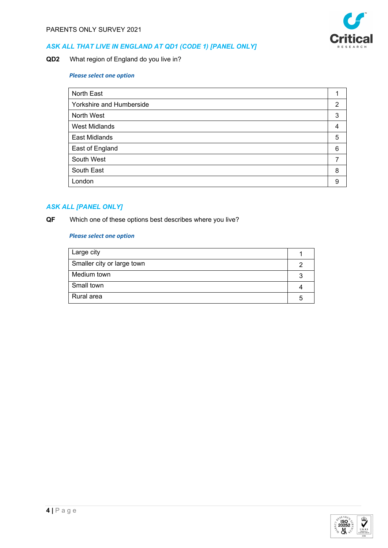

## *ASK ALL THAT LIVE IN ENGLAND AT QD1 (CODE 1) [PANEL ONLY]*

**QD2** What region of England do you live in?

## *Please select one option*

| North East               |   |
|--------------------------|---|
| Yorkshire and Humberside | 2 |
| North West               | 3 |
| <b>West Midlands</b>     | 4 |
| <b>East Midlands</b>     | 5 |
| East of England          | 6 |
| South West               |   |
| South East               | 8 |
| London                   | 9 |

### *ASK ALL [PANEL ONLY]*

**QF** Which one of these options best describes where you live?

| Large city                 |  |
|----------------------------|--|
| Smaller city or large town |  |
| Medium town                |  |
| Small town                 |  |
| Rural area                 |  |

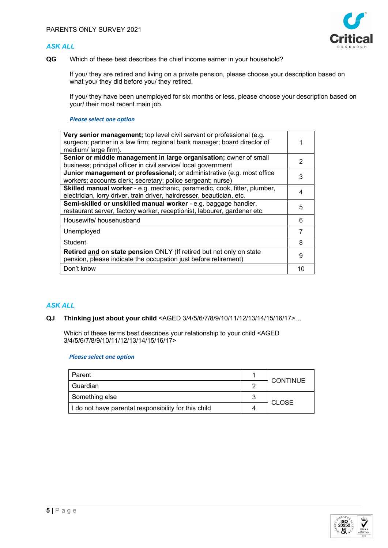### *ASK ALL*



**QG** Which of these best describes the chief income earner in your household?

If you/ they are retired and living on a private pension, please choose your description based on what you/ they did before you/ they retired.

If you/ they have been unemployed for six months or less, please choose your description based on your/ their most recent main job.

#### *Please select one option*

| Very senior management; top level civil servant or professional (e.g.<br>surgeon; partner in a law firm; regional bank manager; board director of<br>medium/large firm). |    |  |
|--------------------------------------------------------------------------------------------------------------------------------------------------------------------------|----|--|
| Senior or middle management in large organisation; owner of small                                                                                                        | 2  |  |
| business; principal officer in civil service/ local government                                                                                                           |    |  |
| <b>Junior management or professional;</b> or administrative (e.g. most office                                                                                            | 3  |  |
| workers; accounts clerk; secretary; police sergeant; nurse)                                                                                                              |    |  |
| Skilled manual worker - e.g. mechanic, paramedic, cook, fitter, plumber,                                                                                                 |    |  |
| electrician, lorry driver, train driver, hairdresser, beautician, etc.                                                                                                   |    |  |
| Semi-skilled or unskilled manual worker - e.g. baggage handler,                                                                                                          |    |  |
| restaurant server, factory worker, receptionist, labourer, gardener etc.                                                                                                 | 5  |  |
| Housewife/househusband                                                                                                                                                   | 6  |  |
| Unemployed                                                                                                                                                               |    |  |
| Student                                                                                                                                                                  | 8  |  |
| Retired and on state pension ONLY (If retired but not only on state<br>pension, please indicate the occupation just before retirement)                                   | 9  |  |
| Don't know                                                                                                                                                               | 10 |  |

### *ASK ALL*

### **QJ Thinking just about your child** <AGED 3/4/5/6/7/8/9/10/11/12/13/14/15/16/17>…

Which of these terms best describes your relationship to your child <AGED 3/4/5/6/7/8/9/10/11/12/13/14/15/16/17>

| Parent                                               |   | <b>CONTINUE</b> |  |
|------------------------------------------------------|---|-----------------|--|
| Guardian                                             |   |                 |  |
| Something else                                       | ີ |                 |  |
| I do not have parental responsibility for this child |   | <b>CLOSE</b>    |  |

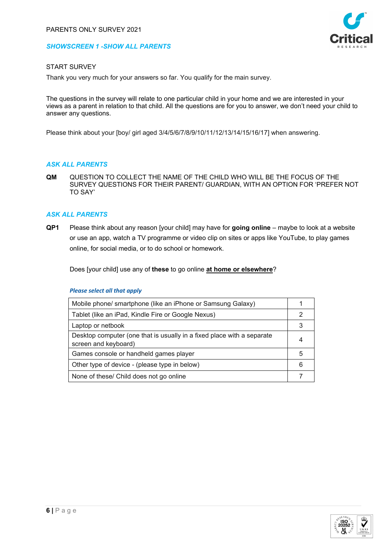### *SHOWSCREEN 1 -SHOW ALL PARENTS*



### START SURVEY

Thank you very much for your answers so far. You qualify for the main survey.

The questions in the survey will relate to one particular child in your home and we are interested in your views as a parent in relation to that child. All the questions are for you to answer, we don't need your child to answer any questions.

Please think about your [boy/ girl aged 3/4/5/6/7/8/9/10/11/12/13/14/15/16/17] when answering.

### *ASK ALL PARENTS*

**QM** QUESTION TO COLLECT THE NAME OF THE CHILD WHO WILL BE THE FOCUS OF THE SURVEY QUESTIONS FOR THEIR PARENT/ GUARDIAN, WITH AN OPTION FOR 'PREFER NOT TO SAY'

### *ASK ALL PARENTS*

**QP1** Please think about any reason [your child] may have for **going online** – maybe to look at a website or use an app, watch a TV programme or video clip on sites or apps like YouTube, to play games online, for social media, or to do school or homework.

Does [your child] use any of **these** to go online **at home or elsewhere**?

| Mobile phone/ smartphone (like an iPhone or Samsung Galaxy)                                    |   |
|------------------------------------------------------------------------------------------------|---|
| Tablet (like an iPad, Kindle Fire or Google Nexus)                                             |   |
| Laptop or netbook                                                                              |   |
| Desktop computer (one that is usually in a fixed place with a separate<br>screen and keyboard) |   |
| Games console or handheld games player                                                         | 5 |
| Other type of device - (please type in below)                                                  | 6 |
| None of these/ Child does not go online                                                        |   |

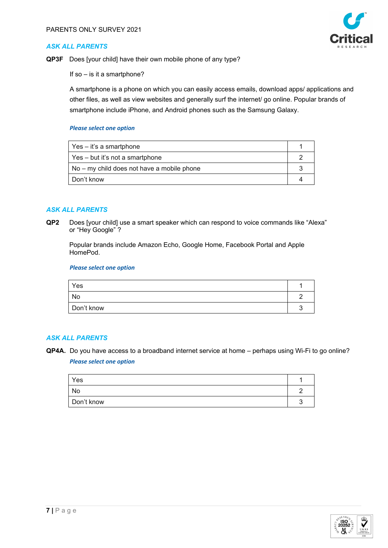



**QP3F** Does [your child] have their own mobile phone of any type?

If so – is it a smartphone?

A smartphone is a phone on which you can easily access emails, download apps/ applications and other files, as well as view websites and generally surf the internet/ go online. Popular brands of smartphone include iPhone, and Android phones such as the Samsung Galaxy.

#### *Please select one option*

| Yes – it's a smartphone                    |  |
|--------------------------------------------|--|
| Yes – but it's not a smartphone            |  |
| No – my child does not have a mobile phone |  |
| l Don't know                               |  |

### *ASK ALL PARENTS*

**QP2** Does [your child] use a smart speaker which can respond to voice commands like "Alexa" or "Hey Google" ?

Popular brands include Amazon Echo, Google Home, Facebook Portal and Apple HomePod.

#### *Please select one option*

| Yes        |  |
|------------|--|
| No         |  |
| Don't know |  |

### *ASK ALL PARENTS*

**QP4A.** Do you have access to a broadband internet service at home – perhaps using Wi-Fi to go online? *Please select one option*

| Yes        |  |
|------------|--|
| No         |  |
| Don't know |  |

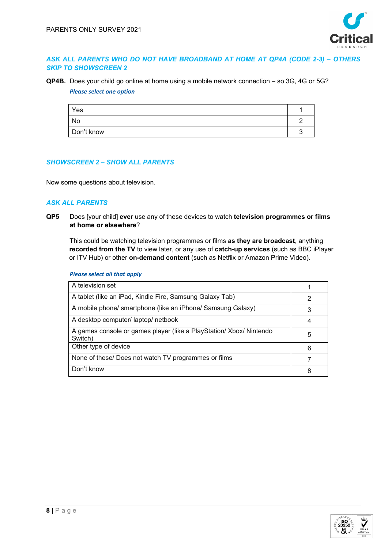

### *ASK ALL PARENTS WHO DO NOT HAVE BROADBAND AT HOME AT QP4A (CODE 2-3) – OTHERS SKIP TO SHOWSCREEN 2*

**QP4B.** Does your child go online at home using a mobile network connection – so 3G, 4G or 5G? *Please select one option*

| Yes        |  |
|------------|--|
| No         |  |
| Don't know |  |

### *SHOWSCREEN 2 – SHOW ALL PARENTS*

Now some questions about television.

### *ASK ALL PARENTS*

**QP5** Does [your child] **ever** use any of these devices to watch **television programmes or films at home or elsewhere**?

This could be watching television programmes or films **as they are broadcast**, anything **recorded from the TV** to view later, or any use of **catch-up services** (such as BBC iPlayer or ITV Hub) or other **on-demand content** (such as Netflix or Amazon Prime Video).

| <b>Please select all that apply</b> |  |  |
|-------------------------------------|--|--|
|                                     |  |  |

| A television set                                                             |   |
|------------------------------------------------------------------------------|---|
| A tablet (like an iPad, Kindle Fire, Samsung Galaxy Tab)                     |   |
| A mobile phone/ smartphone (like an iPhone/ Samsung Galaxy)                  |   |
| A desktop computer/ laptop/ netbook                                          |   |
| A games console or games player (like a PlayStation/Xbox/Nintendo<br>Switch) | 5 |
| Other type of device                                                         | 6 |
| None of these/ Does not watch TV programmes or films                         |   |
| Don't know                                                                   |   |

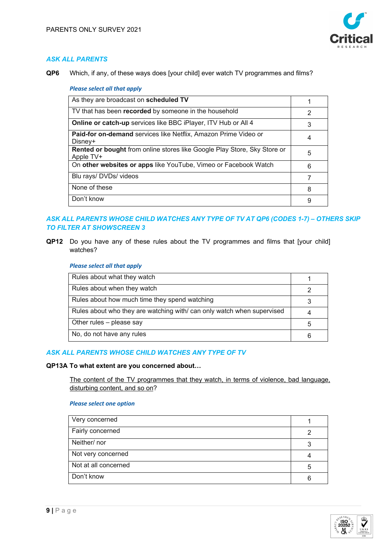

**QP6** Which, if any, of these ways does [your child] ever watch TV programmes and films?

#### *Please select all that apply*

| As they are broadcast on scheduled TV                                                 |   |
|---------------------------------------------------------------------------------------|---|
| TV that has been recorded by someone in the household                                 | 2 |
| Online or catch-up services like BBC iPlayer, ITV Hub or All 4                        | 3 |
| Paid-for on-demand services like Netflix, Amazon Prime Video or<br>Disney+            | 4 |
| Rented or bought from online stores like Google Play Store, Sky Store or<br>Apple TV+ | 5 |
| On other websites or apps like YouTube, Vimeo or Facebook Watch                       | 6 |
| Blu rays/ DVDs/ videos                                                                |   |
| None of these                                                                         | 8 |
| Don't know                                                                            | 9 |

## *ASK ALL PARENTS WHOSE CHILD WATCHES ANY TYPE OF TV AT QP6 (CODES 1-7) – OTHERS SKIP TO FILTER AT SHOWSCREEN 3*

**QP12** Do you have any of these rules about the TV programmes and films that [your child] watches?

#### *Please select all that apply*

| Rules about what they watch                                           |   |
|-----------------------------------------------------------------------|---|
| Rules about when they watch                                           |   |
| Rules about how much time they spend watching                         |   |
| Rules about who they are watching with/can only watch when supervised |   |
| Other rules - please say                                              | 5 |
| No, do not have any rules                                             |   |
|                                                                       |   |

## *ASK ALL PARENTS WHOSE CHILD WATCHES ANY TYPE OF TV*

#### **QP13A To what extent are you concerned about…**

The content of the TV programmes that they watch, in terms of violence, bad language, disturbing content, and so on?

| Very concerned       |   |
|----------------------|---|
| Fairly concerned     |   |
| Neither/nor          |   |
| Not very concerned   |   |
| Not at all concerned | 5 |
| Don't know           | 6 |

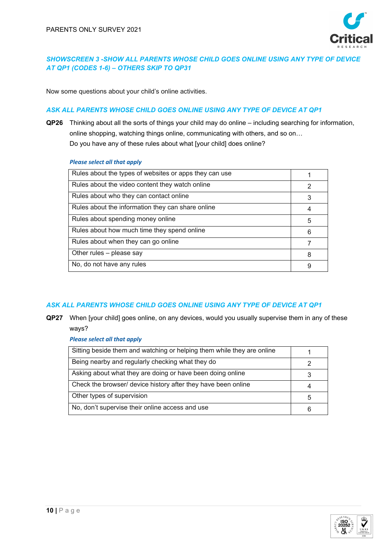

## *SHOWSCREEN 3 -SHOW ALL PARENTS WHOSE CHILD GOES ONLINE USING ANY TYPE OF DEVICE AT QP1 (CODES 1-6) – OTHERS SKIP TO QP31*

Now some questions about your child's online activities.

### *ASK ALL PARENTS WHOSE CHILD GOES ONLINE USING ANY TYPE OF DEVICE AT QP1*

**QP26** Thinking about all the sorts of things your child may do online – including searching for information, online shopping, watching things online, communicating with others, and so on… Do you have any of these rules about what [your child] does online?

#### *Please select all that apply*

| Rules about the types of websites or apps they can use |   |
|--------------------------------------------------------|---|
| Rules about the video content they watch online        |   |
| Rules about who they can contact online                | 3 |
| Rules about the information they can share online      | 4 |
| Rules about spending money online                      | 5 |
| Rules about how much time they spend online            | ค |
| Rules about when they can go online                    |   |
| Other rules - please say                               | 8 |
| No, do not have any rules                              | 9 |

### *ASK ALL PARENTS WHOSE CHILD GOES ONLINE USING ANY TYPE OF DEVICE AT QP1*

**QP27** When [your child] goes online, on any devices, would you usually supervise them in any of these ways?

| Sitting beside them and watching or helping them while they are online |   |
|------------------------------------------------------------------------|---|
| Being nearby and regularly checking what they do                       |   |
| Asking about what they are doing or have been doing online             |   |
| Check the browser/ device history after they have been online          |   |
| Other types of supervision                                             | 5 |
| No, don't supervise their online access and use                        |   |

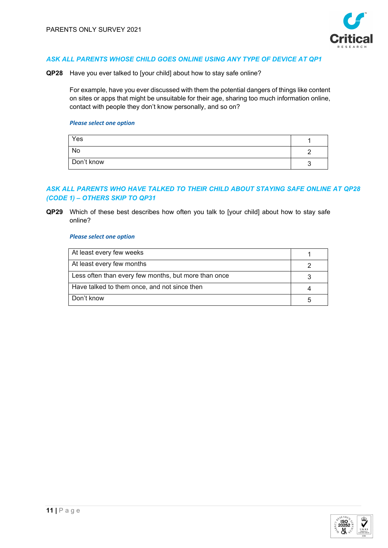

**QP28** Have you ever talked to [your child] about how to stay safe online?

For example, have you ever discussed with them the potential dangers of things like content on sites or apps that might be unsuitable for their age, sharing too much information online, contact with people they don't know personally, and so on?

#### *Please select one option*

| Yes        |  |
|------------|--|
| No         |  |
| Don't know |  |

## *ASK ALL PARENTS WHO HAVE TALKED TO THEIR CHILD ABOUT STAYING SAFE ONLINE AT QP28 (CODE 1) – OTHERS SKIP TO QP31*

**QP29** Which of these best describes how often you talk to [your child] about how to stay safe online?

| At least every few weeks                             |  |
|------------------------------------------------------|--|
| At least every few months                            |  |
| Less often than every few months, but more than once |  |
| Have talked to them once, and not since then         |  |
| Don't know                                           |  |

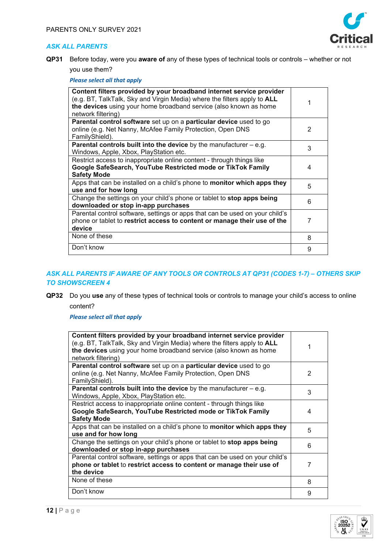

**QP31** Before today, were you **aware of** any of these types of technical tools or controls – whether or not you use them?

*Please select all that apply*

| Content filters provided by your broadband internet service provider<br>(e.g. BT, TalkTalk, Sky and Virgin Media) where the filters apply to <b>ALL</b><br>the devices using your home broadband service (also known as home<br>network filtering) |   |
|----------------------------------------------------------------------------------------------------------------------------------------------------------------------------------------------------------------------------------------------------|---|
| Parental control software set up on a particular device used to go<br>online (e.g. Net Nanny, McAfee Family Protection, Open DNS<br>FamilyShield).                                                                                                 | 2 |
| <b>Parental controls built into the device</b> by the manufacturer $-$ e.g.<br>Windows, Apple, Xbox, PlayStation etc.                                                                                                                              | 3 |
| Restrict access to inappropriate online content - through things like<br>Google SafeSearch, YouTube Restricted mode or TikTok Family<br><b>Safety Mode</b>                                                                                         | 4 |
| Apps that can be installed on a child's phone to <b>monitor which apps they</b><br>use and for how long                                                                                                                                            | 5 |
| Change the settings on your child's phone or tablet to stop apps being<br>downloaded or stop in-app purchases                                                                                                                                      | 6 |
| Parental control software, settings or apps that can be used on your child's<br>phone or tablet to restrict access to content or manage their use of the<br>device                                                                                 | 7 |
| None of these                                                                                                                                                                                                                                      | 8 |
| Don't know                                                                                                                                                                                                                                         | 9 |

### *ASK ALL PARENTS IF AWARE OF ANY TOOLS OR CONTROLS AT QP31 (CODES 1-7) – OTHERS SKIP TO SHOWSCREEN 4*

**QP32** Do you **use** any of these types of technical tools or controls to manage your child's access to online content?

| Content filters provided by your broadband internet service provider<br>(e.g. BT, TalkTalk, Sky and Virgin Media) where the filters apply to ALL<br>the devices using your home broadband service (also known as home<br>network filtering) |   |
|---------------------------------------------------------------------------------------------------------------------------------------------------------------------------------------------------------------------------------------------|---|
| Parental control software set up on a particular device used to go<br>online (e.g. Net Nanny, McAfee Family Protection, Open DNS<br>FamilyShield).                                                                                          | 2 |
| <b>Parental controls built into the device</b> by the manufacturer $-$ e.g.<br>Windows, Apple, Xbox, PlayStation etc.                                                                                                                       | 3 |
| Restrict access to inappropriate online content - through things like<br>Google SafeSearch, YouTube Restricted mode or TikTok Family<br><b>Safety Mode</b>                                                                                  | 4 |
| Apps that can be installed on a child's phone to monitor which apps they<br>use and for how long                                                                                                                                            | 5 |
| Change the settings on your child's phone or tablet to stop apps being<br>downloaded or stop in-app purchases                                                                                                                               | 6 |
| Parental control software, settings or apps that can be used on your child's<br>phone or tablet to restrict access to content or manage their use of<br>the device                                                                          | 7 |
| None of these                                                                                                                                                                                                                               | 8 |
| Don't know                                                                                                                                                                                                                                  | 9 |

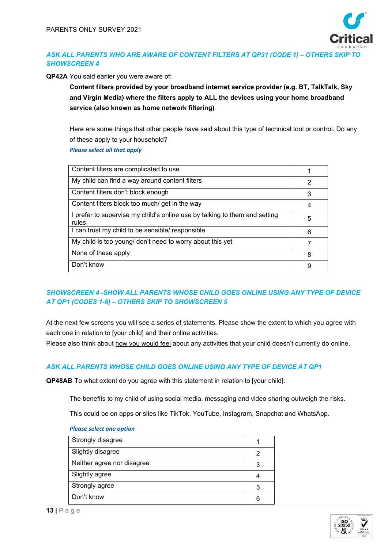

## *ASK ALL PARENTS WHO ARE AWARE OF CONTENT FILTERS AT QP31 (CODE 1) – OTHERS SKIP TO SHOWSCREEN 4*

**QP42A** You said earlier you were aware of:

**Content filters provided by your broadband internet service provider (e.g. BT, TalkTalk, Sky and Virgin Media) where the filters apply to ALL the devices using your home broadband service (also known as home network filtering)**

Here are some things that other people have said about this type of technical tool or control. Do any of these apply to your household?

*Please select all that apply*

| Content filters are complicated to use                                              |   |
|-------------------------------------------------------------------------------------|---|
| My child can find a way around content filters                                      | 2 |
| Content filters don't block enough                                                  | 3 |
| Content filters block too much/get in the way                                       | 4 |
| I prefer to supervise my child's online use by talking to them and setting<br>rules | 5 |
| I can trust my child to be sensible/ responsible                                    | 6 |
| My child is too young/ don't need to worry about this yet                           |   |
| None of these apply                                                                 | 8 |
| Don't know                                                                          | 9 |
|                                                                                     |   |

## *SHOWSCREEN 4 -SHOW ALL PARENTS WHOSE CHILD GOES ONLINE USING ANY TYPE OF DEVICE AT QP1 (CODES 1-6) – OTHERS SKIP TO SHOWSCREEN 5*

At the next few screens you will see a series of statements. Please show the extent to which you agree with each one in relation to [your child] and their online activities.

Please also think about how you would feel about any activities that your child doesn't currently do online.

## *ASK ALL PARENTS WHOSE CHILD GOES ONLINE USING ANY TYPE OF DEVICE AT QP1*

**QP48AB** To what extent do you agree with this statement in relation to [your child]:

The benefits to my child of using social media, messaging and video sharing outweigh the risks.

This could be on apps or sites like TikTok, YouTube, Instagram, Snapchat and WhatsApp.

| Strongly disagree          |   |
|----------------------------|---|
| Slightly disagree          |   |
| Neither agree nor disagree |   |
| Slightly agree             |   |
| Strongly agree             | 5 |
| Don't know                 |   |

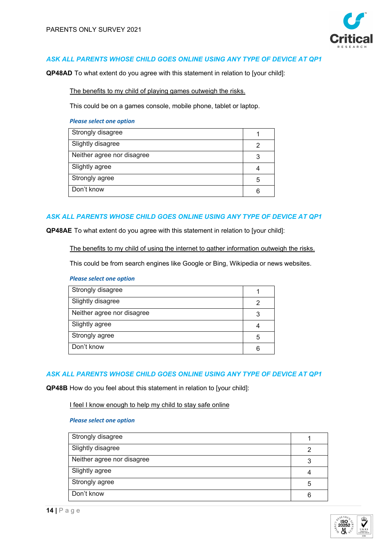

**QP48AD** To what extent do you agree with this statement in relation to [your child]:

The benefits to my child of playing games outweigh the risks.

This could be on a games console, mobile phone, tablet or laptop.

#### *Please select one option*

| Strongly disagree          |   |
|----------------------------|---|
| Slightly disagree          |   |
| Neither agree nor disagree |   |
| Slightly agree             |   |
| Strongly agree             | 5 |
| Don't know                 |   |

### *ASK ALL PARENTS WHOSE CHILD GOES ONLINE USING ANY TYPE OF DEVICE AT QP1*

**QP48AE** To what extent do you agree with this statement in relation to [your child]:

The benefits to my child of using the internet to gather information outweigh the risks.

This could be from search engines like Google or Bing, Wikipedia or news websites.

#### *Please select one option*

| Strongly disagree          |   |
|----------------------------|---|
| Slightly disagree          |   |
| Neither agree nor disagree | З |
| Slightly agree             |   |
| Strongly agree             | 5 |
| Don't know                 |   |
|                            |   |

### *ASK ALL PARENTS WHOSE CHILD GOES ONLINE USING ANY TYPE OF DEVICE AT QP1*

**QP48B** How do you feel about this statement in relation to [your child]:

I feel I know enough to help my child to stay safe online

| Strongly disagree          |   |
|----------------------------|---|
| Slightly disagree          |   |
| Neither agree nor disagree |   |
| Slightly agree             |   |
| Strongly agree             | 5 |
| Don't know                 | 6 |

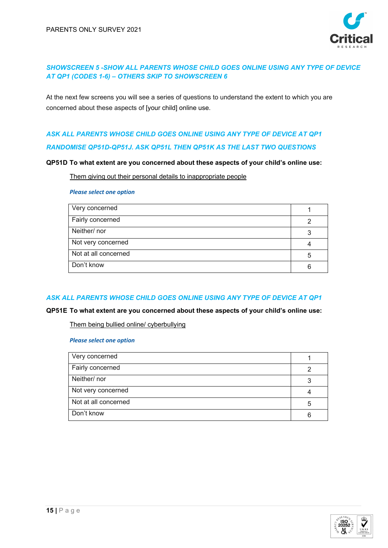

## *SHOWSCREEN 5 -SHOW ALL PARENTS WHOSE CHILD GOES ONLINE USING ANY TYPE OF DEVICE AT QP1 (CODES 1-6) – OTHERS SKIP TO SHOWSCREEN 6*

At the next few screens you will see a series of questions to understand the extent to which you are concerned about these aspects of [your child] online use.

# *ASK ALL PARENTS WHOSE CHILD GOES ONLINE USING ANY TYPE OF DEVICE AT QP1 RANDOMISE QP51D-QP51J. ASK QP51L THEN QP51K AS THE LAST TWO QUESTIONS*

#### **QP51D To what extent are you concerned about these aspects of your child's online use:**

Them giving out their personal details to inappropriate people

#### *Please select one option*

| Very concerned       |   |
|----------------------|---|
| Fairly concerned     |   |
| Neither/nor          | વ |
| Not very concerned   |   |
| Not at all concerned |   |
| Don't know           | 6 |
|                      |   |

### *ASK ALL PARENTS WHOSE CHILD GOES ONLINE USING ANY TYPE OF DEVICE AT QP1*

### **QP51E To what extent are you concerned about these aspects of your child's online use:**

Them being bullied online/ cyberbullying

| Very concerned       |   |
|----------------------|---|
| Fairly concerned     |   |
| Neither/nor          |   |
| Not very concerned   |   |
| Not at all concerned | 5 |
| Don't know           | 6 |

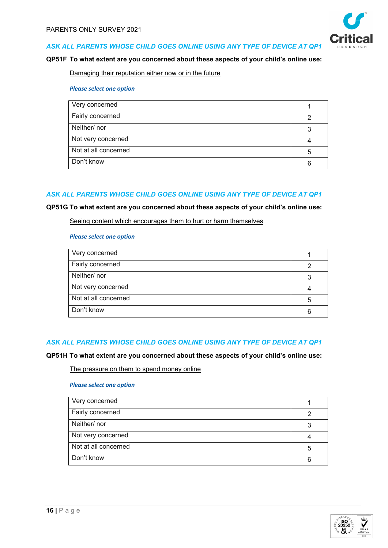

#### **QP51F To what extent are you concerned about these aspects of your child's online use:**

Damaging their reputation either now or in the future

#### *Please select one option*

| Very concerned       |  |
|----------------------|--|
| Fairly concerned     |  |
| Neither/nor          |  |
| Not very concerned   |  |
| Not at all concerned |  |
| Don't know           |  |

### *ASK ALL PARENTS WHOSE CHILD GOES ONLINE USING ANY TYPE OF DEVICE AT QP1*

#### **QP51G To what extent are you concerned about these aspects of your child's online use:**

#### Seeing content which encourages them to hurt or harm themselves

#### *Please select one option*

| Very concerned       |  |
|----------------------|--|
| Fairly concerned     |  |
| Neither/nor          |  |
| Not very concerned   |  |
| Not at all concerned |  |
| Don't know           |  |

#### *ASK ALL PARENTS WHOSE CHILD GOES ONLINE USING ANY TYPE OF DEVICE AT QP1*

#### **QP51H To what extent are you concerned about these aspects of your child's online use:**

The pressure on them to spend money online

| Very concerned       |   |
|----------------------|---|
| Fairly concerned     |   |
| Neither/nor          |   |
| Not very concerned   |   |
| Not at all concerned | b |
| Don't know           |   |

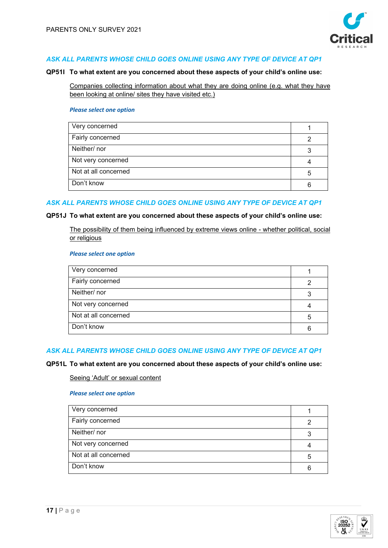

#### **QP51I To what extent are you concerned about these aspects of your child's online use:**

Companies collecting information about what they are doing online (e.g. what they have been looking at online/ sites they have visited etc.)

#### *Please select one option*

| Very concerned       |  |
|----------------------|--|
| Fairly concerned     |  |
| Neither/nor          |  |
| Not very concerned   |  |
| Not at all concerned |  |
| Don't know           |  |

#### *ASK ALL PARENTS WHOSE CHILD GOES ONLINE USING ANY TYPE OF DEVICE AT QP1*

#### **QP51J To what extent are you concerned about these aspects of your child's online use:**

The possibility of them being influenced by extreme views online - whether political, social or religious

#### *Please select one option*

| Very concerned       |   |
|----------------------|---|
| Fairly concerned     |   |
| Neither/nor          |   |
| Not very concerned   |   |
| Not at all concerned | 5 |
| Don't know           |   |

### *ASK ALL PARENTS WHOSE CHILD GOES ONLINE USING ANY TYPE OF DEVICE AT QP1*

#### **QP51L To what extent are you concerned about these aspects of your child's online use:**

#### Seeing 'Adult' or sexual content

| Very concerned       |   |
|----------------------|---|
| Fairly concerned     |   |
| Neither/nor          |   |
| Not very concerned   |   |
| Not at all concerned | 5 |
| Don't know           |   |

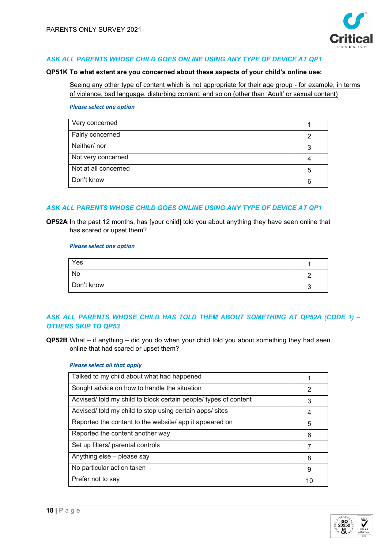

#### **QP51K To what extent are you concerned about these aspects of your child's online use:**

Seeing any other type of content which is not appropriate for their age group - for example, in terms of violence, bad language, disturbing content, and so on (other than 'Adult' or sexual content)

#### *Please select one option*

| Very concerned       |   |
|----------------------|---|
| Fairly concerned     | ⌒ |
| Neither/nor          | 3 |
| Not very concerned   |   |
| Not at all concerned | 5 |
| Don't know           |   |

## *ASK ALL PARENTS WHOSE CHILD GOES ONLINE USING ANY TYPE OF DEVICE AT QP1*

**QP52A** In the past 12 months, has [your child] told you about anything they have seen online that has scared or upset them?

#### *Please select one option*

| Yes        |  |
|------------|--|
| No         |  |
| Don't know |  |

## *ASK ALL PARENTS WHOSE CHILD HAS TOLD THEM ABOUT SOMETHING AT QP52A (CODE 1) – OTHERS SKIP TO QP53*

**QP52B** What – if anything – did you do when your child told you about something they had seen online that had scared or upset them?

| Talked to my child about what had happened                       |    |
|------------------------------------------------------------------|----|
| Sought advice on how to handle the situation                     | 2  |
| Advised/ told my child to block certain people/ types of content | 3  |
| Advised/ told my child to stop using certain apps/ sites         | 4  |
| Reported the content to the website/ app it appeared on          | 5  |
| Reported the content another way                                 | 6  |
| Set up filters/ parental controls                                |    |
| Anything else - please say                                       | 8  |
| No particular action taken                                       | 9  |
| Prefer not to say                                                | 10 |
|                                                                  |    |

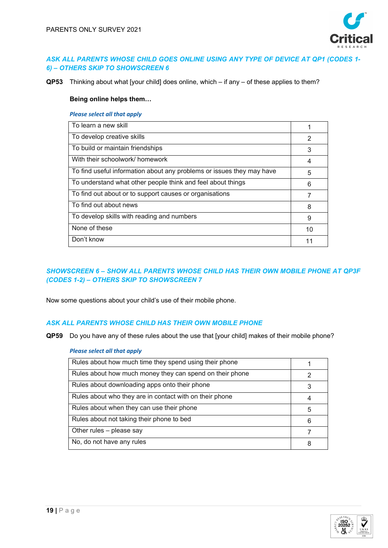

### *ASK ALL PARENTS WHOSE CHILD GOES ONLINE USING ANY TYPE OF DEVICE AT QP1 (CODES 1- 6) – OTHERS SKIP TO SHOWSCREEN 6*

**QP53** Thinking about what [your child] does online, which – if any – of these applies to them?

### **Being online helps them…**

#### *Please select all that apply*

| To learn a new skill                                                  |    |
|-----------------------------------------------------------------------|----|
| To develop creative skills                                            | 2  |
| To build or maintain friendships                                      | 3  |
| With their schoolwork/ homework                                       | 4  |
| To find useful information about any problems or issues they may have | 5  |
| To understand what other people think and feel about things           | 6  |
| To find out about or to support causes or organisations               |    |
| To find out about news                                                | 8  |
| To develop skills with reading and numbers                            | 9  |
| None of these                                                         | 10 |
| Don't know                                                            | 11 |
|                                                                       |    |

## *SHOWSCREEN 6 – SHOW ALL PARENTS WHOSE CHILD HAS THEIR OWN MOBILE PHONE AT QP3F (CODES 1-2) – OTHERS SKIP TO SHOWSCREEN 7*

Now some questions about your child's use of their mobile phone.

## *ASK ALL PARENTS WHOSE CHILD HAS THEIR OWN MOBILE PHONE*

**QP59** Do you have any of these rules about the use that [your child] makes of their mobile phone?

| Rules about how much time they spend using their phone   |   |
|----------------------------------------------------------|---|
| Rules about how much money they can spend on their phone | 2 |
| Rules about downloading apps onto their phone            |   |
| Rules about who they are in contact with on their phone  | 4 |
| Rules about when they can use their phone                | 5 |
| Rules about not taking their phone to bed                | 6 |
| Other rules - please say                                 |   |
| No, do not have any rules                                | 8 |

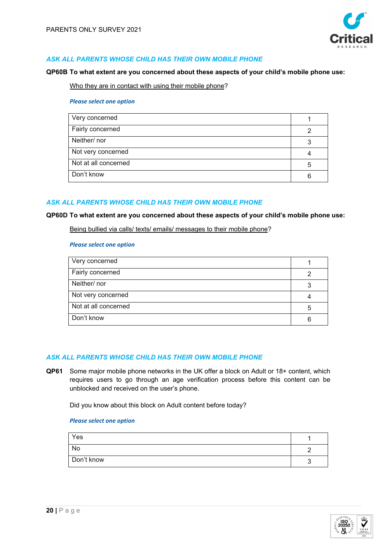

### *ASK ALL PARENTS WHOSE CHILD HAS THEIR OWN MOBILE PHONE*

#### **QP60B To what extent are you concerned about these aspects of your child's mobile phone use:**

Who they are in contact with using their mobile phone?

#### *Please select one option*

| Very concerned       |  |
|----------------------|--|
| Fairly concerned     |  |
| Neither/nor          |  |
| Not very concerned   |  |
| Not at all concerned |  |
| Don't know           |  |

#### *ASK ALL PARENTS WHOSE CHILD HAS THEIR OWN MOBILE PHONE*

#### **QP60D To what extent are you concerned about these aspects of your child's mobile phone use:**

Being bullied via calls/ texts/ emails/ messages to their mobile phone?

#### *Please select one option*

| Very concerned       |   |
|----------------------|---|
| Fairly concerned     |   |
| Neither/nor          |   |
| Not very concerned   |   |
| Not at all concerned | 5 |
| Don't know           | 6 |

#### *ASK ALL PARENTS WHOSE CHILD HAS THEIR OWN MOBILE PHONE*

**QP61** Some major mobile phone networks in the UK offer a block on Adult or 18+ content, which requires users to go through an age verification process before this content can be unblocked and received on the user's phone.

Did you know about this block on Adult content before today?

| Yes        |  |
|------------|--|
| No         |  |
| Don't know |  |

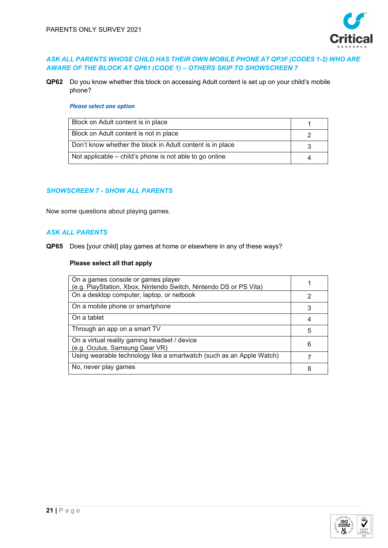

### *ASK ALL PARENTS WHOSE CHILD HAS THEIR OWN MOBILE PHONE AT QP3F (CODES 1-2) WHO ARE AWARE OF THE BLOCK AT QP61 (CODE 1) – OTHERS SKIP TO SHOWSCREEN 7*

**QP62** Do you know whether this block on accessing Adult content is set up on your child's mobile phone?

#### *Please select one option*

| Block on Adult content is in place                        |  |
|-----------------------------------------------------------|--|
| Block on Adult content is not in place                    |  |
| Don't know whether the block in Adult content is in place |  |
| Not applicable – child's phone is not able to go online   |  |

### *SHOWSCREEN 7 - SHOW ALL PARENTS*

Now some questions about playing games.

### *ASK ALL PARENTS*

**QP65** Does [your child] play games at home or elsewhere in any of these ways?

| On a games console or games player<br>(e.g. PlayStation, Xbox, Nintendo Switch, Nintendo DS or PS Vita) |   |
|---------------------------------------------------------------------------------------------------------|---|
| On a desktop computer, laptop, or netbook                                                               | 2 |
| On a mobile phone or smartphone                                                                         | 3 |
| On a tablet                                                                                             |   |
| Through an app on a smart TV                                                                            | 5 |
| On a virtual reality gaming headset / device<br>(e.g. Oculus, Samsung Gear VR)                          | 6 |
| Using wearable technology like a smartwatch (such as an Apple Watch)                                    |   |
| No, never play games                                                                                    | 8 |

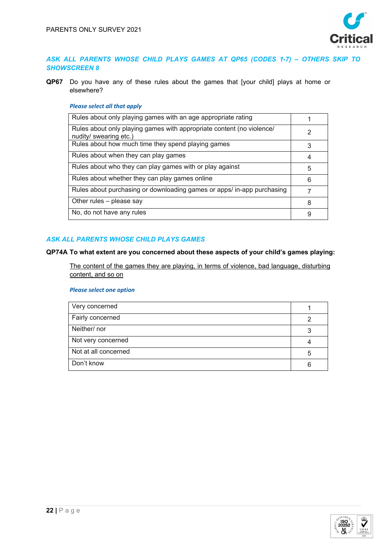

### *ASK ALL PARENTS WHOSE CHILD PLAYS GAMES AT QP65 (CODES 1-7) – OTHERS SKIP TO SHOWSCREEN 8*

**QP67** Do you have any of these rules about the games that [your child] plays at home or elsewhere?

### *Please select all that apply*

| Rules about only playing games with an age appropriate rating                                   |   |
|-------------------------------------------------------------------------------------------------|---|
| Rules about only playing games with appropriate content (no violence/<br>nudity/ swearing etc.) | 2 |
| Rules about how much time they spend playing games                                              | 3 |
| Rules about when they can play games                                                            |   |
| Rules about who they can play games with or play against                                        | 5 |
| Rules about whether they can play games online                                                  | 6 |
| Rules about purchasing or downloading games or apps/ in-app purchasing                          |   |
| Other rules - please say                                                                        | 8 |
| No, do not have any rules                                                                       | 9 |
|                                                                                                 |   |

## *ASK ALL PARENTS WHOSE CHILD PLAYS GAMES*

#### **QP74A To what extent are you concerned about these aspects of your child's games playing:**

The content of the games they are playing, in terms of violence, bad language, disturbing content, and so on

| Very concerned       |   |
|----------------------|---|
| Fairly concerned     |   |
| Neither/nor          |   |
| Not very concerned   |   |
| Not at all concerned | 5 |
| Don't know           |   |
|                      |   |

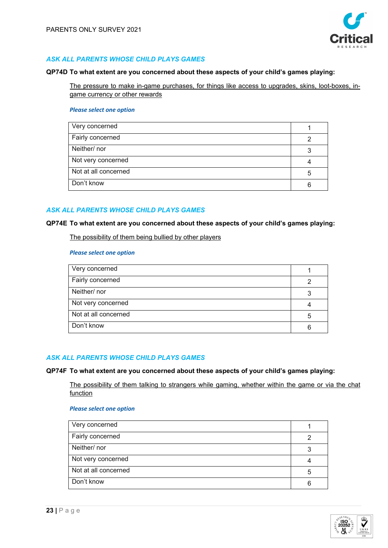

### *ASK ALL PARENTS WHOSE CHILD PLAYS GAMES*

#### **QP74D To what extent are you concerned about these aspects of your child's games playing:**

The pressure to make in-game purchases, for things like access to upgrades, skins, loot-boxes, ingame currency or other rewards

### *Please select one option*

| Very concerned       |   |
|----------------------|---|
| Fairly concerned     |   |
| Neither/nor          |   |
| Not very concerned   |   |
| Not at all concerned | 5 |
| Don't know           |   |

## *ASK ALL PARENTS WHOSE CHILD PLAYS GAMES*

#### **QP74E To what extent are you concerned about these aspects of your child's games playing:**

The possibility of them being bullied by other players

#### *Please select one option*

| Very concerned       |   |
|----------------------|---|
| Fairly concerned     |   |
| Neither/nor          |   |
| Not very concerned   |   |
| Not at all concerned | b |
| Don't know           | 6 |

## *ASK ALL PARENTS WHOSE CHILD PLAYS GAMES*

### **QP74F To what extent are you concerned about these aspects of your child's games playing:**

The possibility of them talking to strangers while gaming, whether within the game or via the chat function

| Very concerned       |  |
|----------------------|--|
| Fairly concerned     |  |
| Neither/nor          |  |
| Not very concerned   |  |
| Not at all concerned |  |
| Don't know           |  |

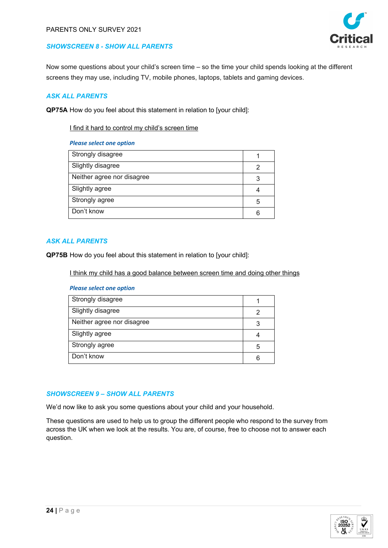

## *SHOWSCREEN 8 - SHOW ALL PARENTS*

Now some questions about your child's screen time – so the time your child spends looking at the different screens they may use, including TV, mobile phones, laptops, tablets and gaming devices.

### *ASK ALL PARENTS*

**QP75A** How do you feel about this statement in relation to [your child]:

### I find it hard to control my child's screen time

#### *Please select one option*

| Strongly disagree          |   |
|----------------------------|---|
| Slightly disagree          | 2 |
| Neither agree nor disagree | 3 |
| Slightly agree             | 4 |
| Strongly agree             | 5 |
| Don't know                 | 6 |

### *ASK ALL PARENTS*

**QP75B** How do you feel about this statement in relation to [your child]:

I think my child has a good balance between screen time and doing other things

#### *Please select one option*

| Strongly disagree          |   |
|----------------------------|---|
| Slightly disagree          |   |
| Neither agree nor disagree | 3 |
| Slightly agree             |   |
| Strongly agree             | 5 |
| Don't know                 | 6 |

### *SHOWSCREEN 9 – SHOW ALL PARENTS*

We'd now like to ask you some questions about your child and your household.

These questions are used to help us to group the different people who respond to the survey from across the UK when we look at the results. You are, of course, free to choose not to answer each question.

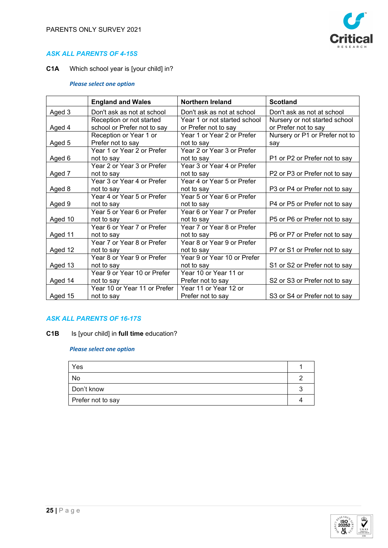

### *ASK ALL PARENTS OF 4-15S*

**C1A** Which school year is [your child] in?

### *Please select one option*

|         | <b>England and Wales</b>                                | <b>Northern Ireland</b>                              | <b>Scotland</b>                                       |
|---------|---------------------------------------------------------|------------------------------------------------------|-------------------------------------------------------|
| Aged 3  | Don't ask as not at school                              | Don't ask as not at school                           | Don't ask as not at school                            |
| Aged 4  | Reception or not started<br>school or Prefer not to say | Year 1 or not started school<br>or Prefer not to say | Nursery or not started school<br>or Prefer not to say |
|         | Reception or Year 1 or                                  | Year 1 or Year 2 or Prefer                           | Nursery or P1 or Prefer not to                        |
| Aged 5  | Prefer not to say                                       | not to say                                           | say                                                   |
| Aged 6  | Year 1 or Year 2 or Prefer<br>not to say                | Year 2 or Year 3 or Prefer<br>not to say             | P1 or P2 or Prefer not to say                         |
|         | Year 2 or Year 3 or Prefer                              | Year 3 or Year 4 or Prefer                           |                                                       |
| Aged 7  | not to say                                              | not to say                                           | P2 or P3 or Prefer not to say                         |
|         | Year 3 or Year 4 or Prefer                              | Year 4 or Year 5 or Prefer                           |                                                       |
| Aged 8  | not to say                                              | not to say                                           | P3 or P4 or Prefer not to say                         |
|         | Year 4 or Year 5 or Prefer                              | Year 5 or Year 6 or Prefer                           |                                                       |
| Aged 9  | not to say                                              | not to say                                           | P4 or P5 or Prefer not to say                         |
|         | Year 5 or Year 6 or Prefer                              | Year 6 or Year 7 or Prefer                           |                                                       |
| Aged 10 | not to say                                              | not to say                                           | P5 or P6 or Prefer not to say                         |
|         | Year 6 or Year 7 or Prefer                              | Year 7 or Year 8 or Prefer                           |                                                       |
| Aged 11 | not to say                                              | not to say                                           | P6 or P7 or Prefer not to say                         |
|         | Year 7 or Year 8 or Prefer                              | Year 8 or Year 9 or Prefer                           |                                                       |
| Aged 12 | not to say                                              | not to say                                           | P7 or S1 or Prefer not to say                         |
|         | Year 8 or Year 9 or Prefer                              | Year 9 or Year 10 or Prefer                          |                                                       |
| Aged 13 | not to say                                              | not to say                                           | S1 or S2 or Prefer not to say                         |
|         | Year 9 or Year 10 or Prefer                             | Year 10 or Year 11 or                                |                                                       |
| Aged 14 | not to say                                              | Prefer not to say                                    | S2 or S3 or Prefer not to say                         |
|         | Year 10 or Year 11 or Prefer                            | Year 11 or Year 12 or                                |                                                       |
| Aged 15 | not to say                                              | Prefer not to say                                    | S3 or S4 or Prefer not to say                         |

## *ASK ALL PARENTS OF 16-17S*

**C1B** Is [your child] in **full time** education?

| Yes               |  |
|-------------------|--|
| No                |  |
| Don't know        |  |
| Prefer not to say |  |

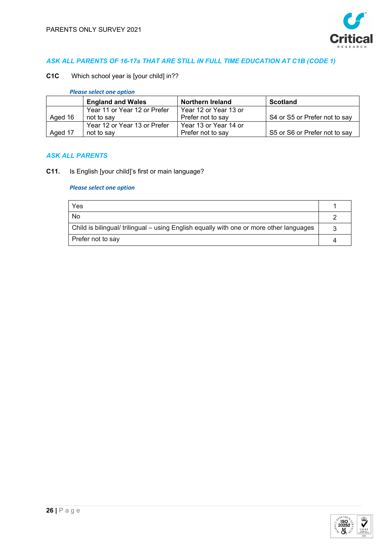

## *ASK ALL PARENTS OF 16-17s THAT ARE STILL IN FULL TIME EDUCATION AT C1B (CODE 1)*

**C1C** Which school year is [your child] in??

*Please select one option*

|         | <b>England and Wales</b>     | <b>Northern Ireland</b> | <b>Scotland</b>               |
|---------|------------------------------|-------------------------|-------------------------------|
|         | Year 11 or Year 12 or Prefer | Year 12 or Year 13 or   |                               |
| Aged 16 | not to say                   | Prefer not to say       | S4 or S5 or Prefer not to say |
|         | Year 12 or Year 13 or Prefer | Year 13 or Year 14 or   |                               |
| Aged 17 | not to say                   | Prefer not to say       | S5 or S6 or Prefer not to say |

### *ASK ALL PARENTS*

**C11.** Is English [your child]'s first or main language?

| Yes                                                                                            |  |
|------------------------------------------------------------------------------------------------|--|
| No.                                                                                            |  |
| $\mid$ Child is bilingual/ trilingual – using English equally with one or more other languages |  |
| Prefer not to say                                                                              |  |

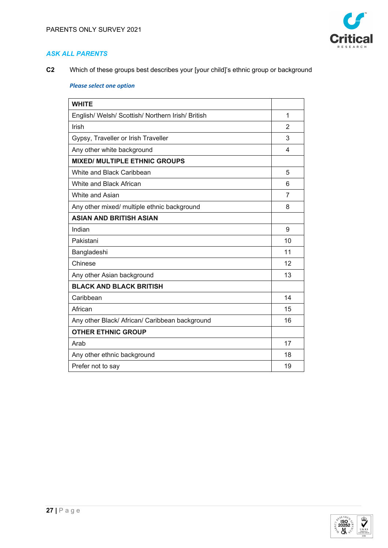

**C2** Which of these groups best describes your [your child]'s ethnic group or background

| <b>WHITE</b>                                      |                |
|---------------------------------------------------|----------------|
| English/ Welsh/ Scottish/ Northern Irish/ British | 1              |
| Irish                                             | $\overline{2}$ |
| Gypsy, Traveller or Irish Traveller               | 3              |
| Any other white background                        | 4              |
| <b>MIXED/ MULTIPLE ETHNIC GROUPS</b>              |                |
| White and Black Caribbean                         | 5              |
| White and Black African                           | 6              |
| White and Asian                                   | $\overline{7}$ |
| Any other mixed/ multiple ethnic background       | 8              |
| <b>ASIAN AND BRITISH ASIAN</b>                    |                |
| Indian                                            | 9              |
| Pakistani                                         | 10             |
| Bangladeshi                                       | 11             |
| Chinese                                           | 12             |
| Any other Asian background                        | 13             |
| <b>BLACK AND BLACK BRITISH</b>                    |                |
| Caribbean                                         | 14             |
| African                                           | 15             |
| Any other Black/ African/ Caribbean background    | 16             |
| <b>OTHER ETHNIC GROUP</b>                         |                |
| Arab                                              | 17             |
| Any other ethnic background                       | 18             |
| Prefer not to say                                 | 19             |

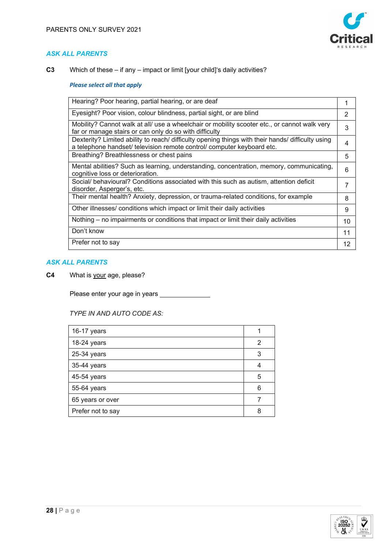

**C3** Which of these – if any – impact or limit [your child]'s daily activities?

### *Please select all that apply*

| Hearing? Poor hearing, partial hearing, or are deaf                                                                                                                         |               |
|-----------------------------------------------------------------------------------------------------------------------------------------------------------------------------|---------------|
| Eyesight? Poor vision, colour blindness, partial sight, or are blind                                                                                                        | $\mathcal{P}$ |
| Mobility? Cannot walk at all/ use a wheelchair or mobility scooter etc., or cannot walk very<br>far or manage stairs or can only do so with difficulty                      | 3             |
| Dexterity? Limited ability to reach/ difficulty opening things with their hands/ difficulty using<br>a telephone handset/ television remote control/ computer keyboard etc. | 4             |
| Breathing? Breathlessness or chest pains                                                                                                                                    | 5             |
| Mental abilities? Such as learning, understanding, concentration, memory, communicating,<br>cognitive loss or deterioration.                                                | 6             |
| Social/ behavioural? Conditions associated with this such as autism, attention deficit<br>disorder, Asperger's, etc.                                                        | 7             |
| Their mental health? Anxiety, depression, or trauma-related conditions, for example                                                                                         | 8             |
| Other illnesses/ conditions which impact or limit their daily activities                                                                                                    | 9             |
| Nothing – no impairments or conditions that impact or limit their daily activities                                                                                          | 10            |
| Don't know                                                                                                                                                                  | 11            |
| Prefer not to say                                                                                                                                                           | 12            |

## *ASK ALL PARENTS*

**C4** What is your age, please?

Please enter your age in years \_\_\_\_\_\_\_\_\_\_\_\_\_\_

### *TYPE IN AND AUTO CODE AS:*

| 16-17 years       |   |
|-------------------|---|
| 18-24 years       | 2 |
| 25-34 years       | 3 |
| 35-44 years       |   |
| 45-54 years       | 5 |
| 55-64 years       | 6 |
| 65 years or over  |   |
| Prefer not to say |   |

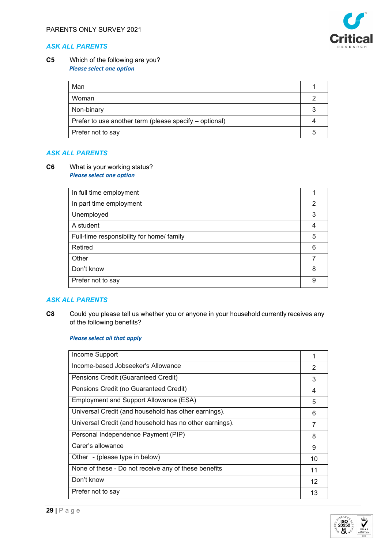

### **C5** Which of the following are you? *Please select one option*

| Man                                                    |  |
|--------------------------------------------------------|--|
| Woman                                                  |  |
| Non-binary                                             |  |
| Prefer to use another term (please specify – optional) |  |
| Prefer not to say                                      |  |

### *ASK ALL PARENTS*

**C6** What is your working status? *Please select one option*

| In full time employment                   |   |
|-------------------------------------------|---|
| In part time employment                   | 2 |
| Unemployed                                | 3 |
| A student                                 | 4 |
| Full-time responsibility for home/ family | 5 |
| Retired                                   | 6 |
| Other                                     |   |
| Don't know                                | 8 |
| Prefer not to say                         | 9 |

### *ASK ALL PARENTS*

**C8** Could you please tell us whether you or anyone in your household currently receives any of the following benefits?  

| Income Support                                          | 1  |
|---------------------------------------------------------|----|
| Income-based Jobseeker's Allowance                      | 2  |
| Pensions Credit (Guaranteed Credit)                     | 3  |
| Pensions Credit (no Guaranteed Credit)                  | 4  |
| Employment and Support Allowance (ESA)                  | 5  |
| Universal Credit (and household has other earnings).    | 6  |
| Universal Credit (and household has no other earnings). |    |
| Personal Independence Payment (PIP)                     | 8  |
| Carer's allowance                                       | 9  |
| Other - (please type in below)                          | 10 |
| None of these - Do not receive any of these benefits    | 11 |
| Don't know                                              | 12 |
| Prefer not to say                                       | 13 |